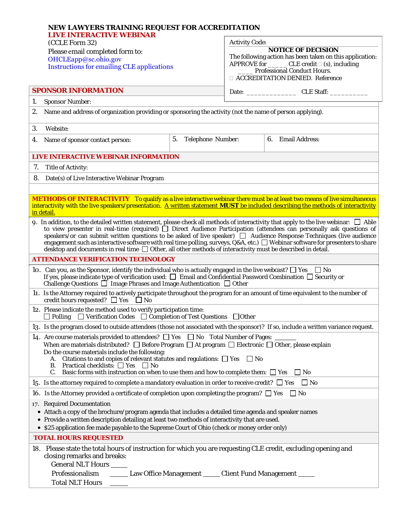| NEW LAWYERS TRAINING REQUEST FOR ACCREDITATION<br><b>LIVE INTERACTIVE WEBINAR</b><br>(CCLE Form 32)<br>Please email completed form to:<br>OHCLEapp@sc.ohio.gov<br><b>Instructions for emailing CLE applications</b>                                                                                                                                                                                                                                                                                                                                                                                                                                          |                                |                                                                                                                                                                                                                               |                   |  |
|--------------------------------------------------------------------------------------------------------------------------------------------------------------------------------------------------------------------------------------------------------------------------------------------------------------------------------------------------------------------------------------------------------------------------------------------------------------------------------------------------------------------------------------------------------------------------------------------------------------------------------------------------------------|--------------------------------|-------------------------------------------------------------------------------------------------------------------------------------------------------------------------------------------------------------------------------|-------------------|--|
|                                                                                                                                                                                                                                                                                                                                                                                                                                                                                                                                                                                                                                                              |                                | <b>Activity Code:</b>                                                                                                                                                                                                         |                   |  |
|                                                                                                                                                                                                                                                                                                                                                                                                                                                                                                                                                                                                                                                              |                                | <b>NOTICE OF DECISION</b><br>The following action has been taken on this application:<br>APPROVE for _________ CLE credit $\square$ (s), including<br><b>Professional Conduct Hours.</b><br>□ ACCREDITATION DENIED. Reference |                   |  |
| <b>SPONSOR INFORMATION</b>                                                                                                                                                                                                                                                                                                                                                                                                                                                                                                                                                                                                                                   |                                |                                                                                                                                                                                                                               | Date: CLE Staff:  |  |
| 1.<br><b>Sponsor Number:</b>                                                                                                                                                                                                                                                                                                                                                                                                                                                                                                                                                                                                                                 |                                |                                                                                                                                                                                                                               |                   |  |
| 2.<br>Name and address of organization providing or sponsoring the activity (not the name of person applying).                                                                                                                                                                                                                                                                                                                                                                                                                                                                                                                                               |                                |                                                                                                                                                                                                                               |                   |  |
| 3.<br>Website:                                                                                                                                                                                                                                                                                                                                                                                                                                                                                                                                                                                                                                               |                                |                                                                                                                                                                                                                               |                   |  |
| Name of sponsor contact person:<br>4.                                                                                                                                                                                                                                                                                                                                                                                                                                                                                                                                                                                                                        | 5.<br><b>Telephone Number:</b> |                                                                                                                                                                                                                               | 6. Email Address: |  |
| LIVE INTERACTIVE WEBINAR INFORMATION                                                                                                                                                                                                                                                                                                                                                                                                                                                                                                                                                                                                                         |                                |                                                                                                                                                                                                                               |                   |  |
| Title of Activity:<br>7.                                                                                                                                                                                                                                                                                                                                                                                                                                                                                                                                                                                                                                     |                                |                                                                                                                                                                                                                               |                   |  |
| 8. Date(s) of Live Interactive Webinar Program                                                                                                                                                                                                                                                                                                                                                                                                                                                                                                                                                                                                               |                                |                                                                                                                                                                                                                               |                   |  |
|                                                                                                                                                                                                                                                                                                                                                                                                                                                                                                                                                                                                                                                              |                                |                                                                                                                                                                                                                               |                   |  |
| <b>METHODS OF INTERACTIVITY</b> To qualify as a live interactive webinar there must be at least two means of live simultaneous<br>interactivity with the live speakers/presentation. A written statement MUST be included describing the methods of interactivity<br>in detail.                                                                                                                                                                                                                                                                                                                                                                              |                                |                                                                                                                                                                                                                               |                   |  |
| 9. In addition, to the detailed written statement, please check all methods of interactivity that apply to the live webinar: $\Box$ Able<br>to view presenter in real-time (required) $\Box$ Direct Audience Participation (attendees can personally ask questions of<br>speakers/or can submit written questions to be asked of live speaker) $\Box$ Audience Response Techniques (live audience<br>engagement such as interactive software with real time polling, surveys, Q&A, etc.) $\Box$ Webinar software for presenters to share<br>desktop and documents in real time $\Box$ Other, all other methods of interactivity must be described in detail. |                                |                                                                                                                                                                                                                               |                   |  |
| <b>ATTENDANCE VERIFICATION TECHNOLOGY</b>                                                                                                                                                                                                                                                                                                                                                                                                                                                                                                                                                                                                                    |                                |                                                                                                                                                                                                                               |                   |  |
| 10. Can you, as the Sponsor, identify the individual who is actually engaged in the live webcast? $\square$ Yes $\square$ No<br>If yes, please indicate type of verification used: $\square$ Email and Confidential Password Combination $\square$ Security or<br>Challenge Questions $\Box$ Image Phrases and Image Authentication $\Box$ Other                                                                                                                                                                                                                                                                                                             |                                |                                                                                                                                                                                                                               |                   |  |
| 11. Is the Attorney required to actively participate throughout the program for an amount of time equivalent to the number of<br>credit hours requested? $\Box$ Yes $\Box$ No                                                                                                                                                                                                                                                                                                                                                                                                                                                                                |                                |                                                                                                                                                                                                                               |                   |  |
| 12. Please indicate the method used to verify participation time:<br>$\Box$ Polling $\Box$ Verification Codes $\Box$ Completion of Test Questions $\Box$ Other                                                                                                                                                                                                                                                                                                                                                                                                                                                                                               |                                |                                                                                                                                                                                                                               |                   |  |
| 13. Is the program closed to outside attendees (those not associated with the sponsor)? If so, include a written variance request.                                                                                                                                                                                                                                                                                                                                                                                                                                                                                                                           |                                |                                                                                                                                                                                                                               |                   |  |
| 14. Are course materials provided to attendees? $\Box$ Yes $\Box$ No Total Number of Pages:<br>When are materials distributed? $\Box$ Before Program $\Box$ At program $\Box$ Electronic $\Box$ Other, please explain<br>Do the course materials include the following:<br>Citations to and copies of relevant statutes and regulations: $\Box$ Yes $\Box$ No<br>B. Practical checklists: $\Box$ Yes $\Box$ No                                                                                                                                                                                                                                               |                                |                                                                                                                                                                                                                               |                   |  |
| C. Basic forms with instruction on when to use them and how to complete them: $\square$ Yes<br>$\Box$ No                                                                                                                                                                                                                                                                                                                                                                                                                                                                                                                                                     |                                |                                                                                                                                                                                                                               |                   |  |
| 15. Is the attorney required to complete a mandatory evaluation in order to receive credit? $\square$ Yes $\square$ No                                                                                                                                                                                                                                                                                                                                                                                                                                                                                                                                       |                                |                                                                                                                                                                                                                               |                   |  |
| 16. Is the Attorney provided a certificate of completion upon completing the program? $\Box$ Yes<br>$\Box$ No                                                                                                                                                                                                                                                                                                                                                                                                                                                                                                                                                |                                |                                                                                                                                                                                                                               |                   |  |
| 17. Required Documentation<br>• Attach a copy of the brochure/program agenda that includes a detailed time agenda and speaker names<br>• Provide a written description detailing at least two methods of interactivity that are used.<br>• \$25 application fee made payable to the Supreme Court of Ohio (check or money order only)                                                                                                                                                                                                                                                                                                                        |                                |                                                                                                                                                                                                                               |                   |  |
| <b>TOTAL HOURS REQUESTED</b>                                                                                                                                                                                                                                                                                                                                                                                                                                                                                                                                                                                                                                 |                                |                                                                                                                                                                                                                               |                   |  |
| 18. Please state the total hours of instruction for which you are requesting CLE credit, excluding opening and<br>closing remarks and breaks:<br>General NLT Hours _<br>Professionalism<br>Law Office Management ______ Client Fund Management _____<br><b>Total NLT Hours</b>                                                                                                                                                                                                                                                                                                                                                                               |                                |                                                                                                                                                                                                                               |                   |  |